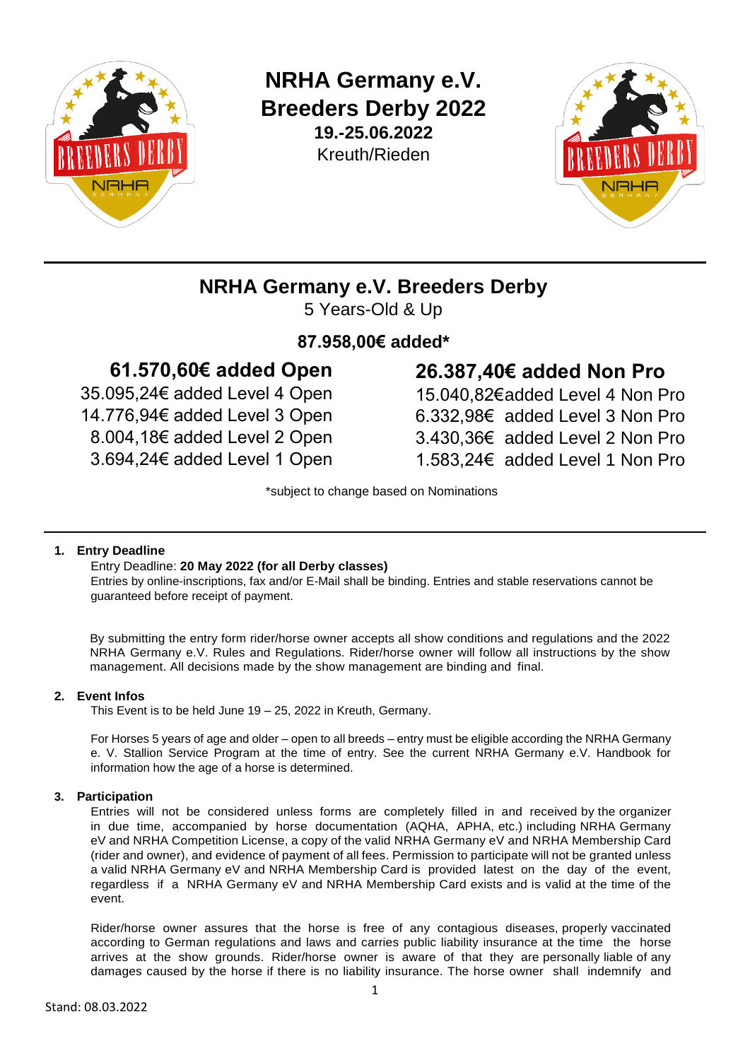

**NRHA Germany e.V. Breeders Derby 2022 19.-25.06.2022** Kreuth/Rieden



## **NRHA Germany e.V. Breeders Derby**

5 Years-Old & Up

## **87.958,00€ added\***

## **61.570,60€ added Open**

35.095,24€ added Level 4 Open 14.776,94€ added Level 3 Open 8.004,18€ added Level 2 Open 3.694,24€ added Level 1 Open

# **26.387,40€ added Non Pro**

15.040,82€added Level 4 Non Pro 6.332,98€ added Level 3 Non Pro 3.430,36€ added Level 2 Non Pro 1.583,24€ added Level 1 Non Pro

\*subject to change based on Nominations

## **1. Entry Deadline**

## Entry Deadline: **20 May 2022 (for all Derby classes)**

Entries by online-inscriptions, fax and/or E-Mail shall be binding. Entries and stable reservations cannot be guaranteed before receipt of payment.

By submitting the entry form rider/horse owner accepts all show conditions and regulations and the 2022 NRHA Germany e.V. Rules and Regulations. Rider/horse owner will follow all instructions by the show management. All decisions made by the show management are binding and final.

## **2. Event Infos**

This Event is to be held June 19 – 25, 2022 in Kreuth, Germany.

For Horses 5 years of age and older – open to all breeds – entry must be eligible according the NRHA Germany e. V. Stallion Service Program at the time of entry. See the current NRHA Germany e.V. Handbook for information how the age of a horse is determined.

## **3. Participation**

Entries will not be considered unless forms are completely filled in and received by the organizer in due time, accompanied by horse documentation (AQHA, APHA, etc.) including NRHA Germany eV and NRHA Competition License, a copy of the valid NRHA Germany eV and NRHA Membership Card (rider and owner), and evidence of payment of all fees. Permission to participate will not be granted unless a valid NRHA Germany eV and NRHA Membership Card is provided latest on the day of the event, regardless if a NRHA Germany eV and NRHA Membership Card exists and is valid at the time of the event.

Rider/horse owner assures that the horse is free of any contagious diseases, properly vaccinated according to German regulations and laws and carries public liability insurance at the time the horse arrives at the show grounds. Rider/horse owner is aware of that they are personally liable of any damages caused by the horse if there is no liability insurance. The horse owner shall indemnify and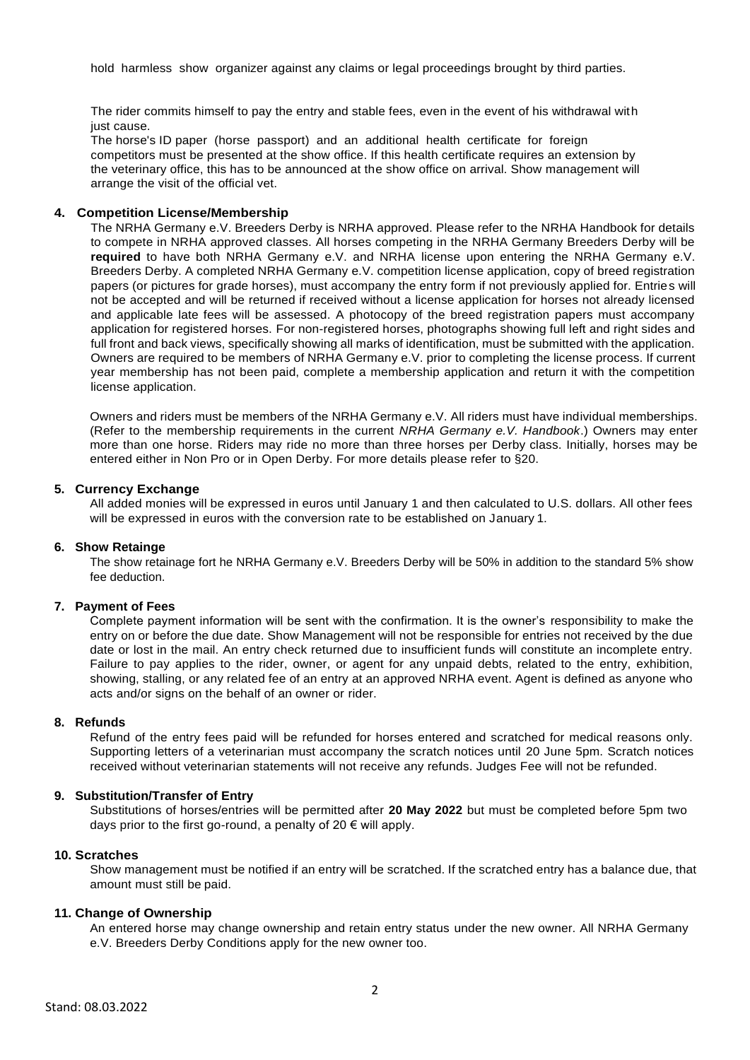hold harmless show organizer against any claims or legal proceedings brought by third parties.

The rider commits himself to pay the entry and stable fees, even in the event of his withdrawal with just cause.

The horse's ID paper (horse passport) and an additional health certificate for foreign competitors must be presented at the show office. If this health certificate requires an extension by the veterinary office, this has to be announced at the show office on arrival. Show management will arrange the visit of the official vet.

#### **4. Competition License/Membership**

The NRHA Germany e.V. Breeders Derby is NRHA approved. Please refer to the NRHA Handbook for details to compete in NRHA approved classes. All horses competing in the NRHA Germany Breeders Derby will be **required** to have both NRHA Germany e.V. and NRHA license upon entering the NRHA Germany e.V. Breeders Derby. A completed NRHA Germany e.V. competition license application, copy of breed registration papers (or pictures for grade horses), must accompany the entry form if not previously applied for. Entries will not be accepted and will be returned if received without a license application for horses not already licensed and applicable late fees will be assessed. A photocopy of the breed registration papers must accompany application for registered horses. For non-registered horses, photographs showing full left and right sides and full front and back views, specifically showing all marks of identification, must be submitted with the application. Owners are required to be members of NRHA Germany e.V. prior to completing the license process. If current year membership has not been paid, complete a membership application and return it with the competition license application.

Owners and riders must be members of the NRHA Germany e.V. All riders must have individual memberships. (Refer to the membership requirements in the current *NRHA Germany e.V. Handbook*.) Owners may enter more than one horse. Riders may ride no more than three horses per Derby class. Initially, horses may be entered either in Non Pro or in Open Derby. For more details please refer to §20.

#### **5. Currency Exchange**

All added monies will be expressed in euros until January 1 and then calculated to U.S. dollars. All other fees will be expressed in euros with the conversion rate to be established on January 1.

#### **6. Show Retainge**

The show retainage fort he NRHA Germany e.V. Breeders Derby will be 50% in addition to the standard 5% show fee deduction.

#### **7. Payment of Fees**

Complete payment information will be sent with the confirmation. It is the owner's responsibility to make the entry on or before the due date. Show Management will not be responsible for entries not received by the due date or lost in the mail. An entry check returned due to insufficient funds will constitute an incomplete entry. Failure to pay applies to the rider, owner, or agent for any unpaid debts, related to the entry, exhibition, showing, stalling, or any related fee of an entry at an approved NRHA event. Agent is defined as anyone who acts and/or signs on the behalf of an owner or rider.

#### **8. Refunds**

Refund of the entry fees paid will be refunded for horses entered and scratched for medical reasons only. Supporting letters of a veterinarian must accompany the scratch notices until 20 June 5pm. Scratch notices received without veterinarian statements will not receive any refunds. Judges Fee will not be refunded.

#### **9. Substitution/Transfer of Entry**

Substitutions of horses/entries will be permitted after **20 May 2022** but must be completed before 5pm two days prior to the first go-round, a penalty of  $20 \in \text{will apply.}$ 

#### **10. Scratches**

Show management must be notified if an entry will be scratched. If the scratched entry has a balance due, that amount must still be paid.

#### **11. Change of Ownership**

An entered horse may change ownership and retain entry status under the new owner. All NRHA Germany e.V. Breeders Derby Conditions apply for the new owner too.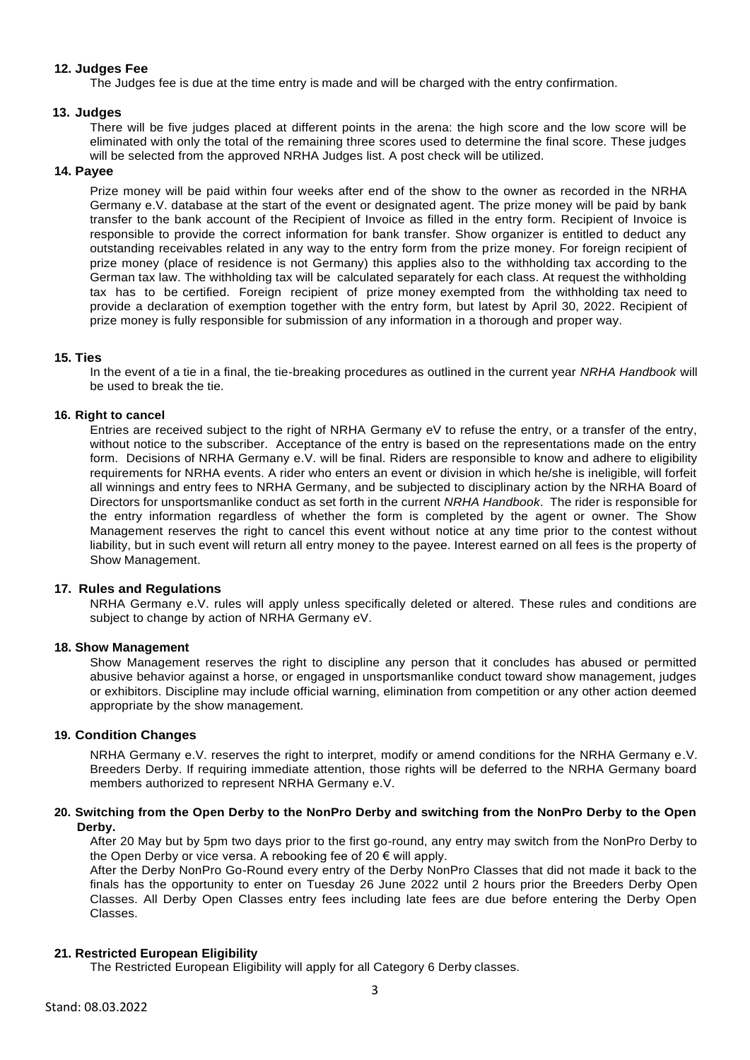## **12. Judges Fee**

The Judges fee is due at the time entry is made and will be charged with the entry confirmation.

## **13. Judges**

There will be five judges placed at different points in the arena: the high score and the low score will be eliminated with only the total of the remaining three scores used to determine the final score. These judges will be selected from the approved NRHA Judges list. A post check will be utilized.

#### **14. Payee**

Prize money will be paid within four weeks after end of the show to the owner as recorded in the NRHA Germany e.V. database at the start of the event or designated agent. The prize money will be paid by bank transfer to the bank account of the Recipient of Invoice as filled in the entry form. Recipient of Invoice is responsible to provide the correct information for bank transfer. Show organizer is entitled to deduct any outstanding receivables related in any way to the entry form from the prize money. For foreign recipient of prize money (place of residence is not Germany) this applies also to the withholding tax according to the German tax law. The withholding tax will be calculated separately for each class. At request the withholding tax has to be certified. Foreign recipient of prize money exempted from the withholding tax need to provide a declaration of exemption together with the entry form, but latest by April 30, 2022. Recipient of prize money is fully responsible for submission of any information in a thorough and proper way.

## **15. Ties**

In the event of a tie in a final, the tie-breaking procedures as outlined in the current year *NRHA Handbook* will be used to break the tie.

#### **16. Right to cancel**

Entries are received subject to the right of NRHA Germany eV to refuse the entry, or a transfer of the entry, without notice to the subscriber. Acceptance of the entry is based on the representations made on the entry form. Decisions of NRHA Germany e.V. will be final. Riders are responsible to know and adhere to eligibility requirements for NRHA events. A rider who enters an event or division in which he/she is ineligible, will forfeit all winnings and entry fees to NRHA Germany, and be subjected to disciplinary action by the NRHA Board of Directors for unsportsmanlike conduct as set forth in the current *NRHA Handbook*. The rider is responsible for the entry information regardless of whether the form is completed by the agent or owner. The Show Management reserves the right to cancel this event without notice at any time prior to the contest without liability, but in such event will return all entry money to the payee. Interest earned on all fees is the property of Show Management.

#### **17. Rules and Regulations**

NRHA Germany e.V. rules will apply unless specifically deleted or altered. These rules and conditions are subject to change by action of NRHA Germany eV.

#### **18. Show Management**

Show Management reserves the right to discipline any person that it concludes has abused or permitted abusive behavior against a horse, or engaged in unsportsmanlike conduct toward show management, judges or exhibitors. Discipline may include official warning, elimination from competition or any other action deemed appropriate by the show management.

## **19. Condition Changes**

NRHA Germany e.V. reserves the right to interpret, modify or amend conditions for the NRHA Germany e.V. Breeders Derby. If requiring immediate attention, those rights will be deferred to the NRHA Germany board members authorized to represent NRHA Germany e.V.

## **20. Switching from the Open Derby to the NonPro Derby and switching from the NonPro Derby to the Open Derby.**

After 20 May but by 5pm two days prior to the first go-round, any entry may switch from the NonPro Derby to the Open Derby or vice versa. A rebooking fee of 20  $\epsilon$  will apply.

After the Derby NonPro Go-Round every entry of the Derby NonPro Classes that did not made it back to the finals has the opportunity to enter on Tuesday 26 June 2022 until 2 hours prior the Breeders Derby Open Classes. All Derby Open Classes entry fees including late fees are due before entering the Derby Open Classes.

## **21. Restricted European Eligibility**

The Restricted European Eligibility will apply for all Category 6 Derby classes.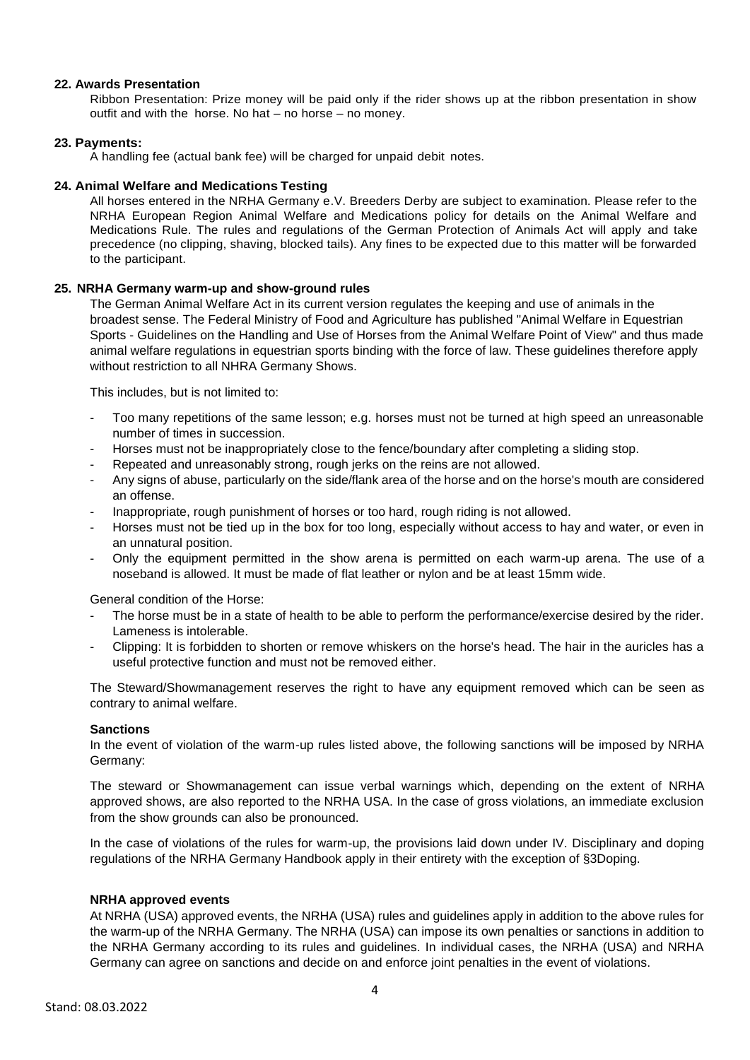## **22. Awards Presentation**

Ribbon Presentation: Prize money will be paid only if the rider shows up at the ribbon presentation in show outfit and with the horse. No hat – no horse – no money.

## **23. Payments:**

A handling fee (actual bank fee) will be charged for unpaid debit notes.

#### **24. Animal Welfare and Medications Testing**

All horses entered in the NRHA Germany e.V. Breeders Derby are subject to examination. Please refer to the NRHA European Region Animal Welfare and Medications policy for details on the Animal Welfare and Medications Rule. The rules and regulations of the German Protection of Animals Act will apply and take precedence (no clipping, shaving, blocked tails). Any fines to be expected due to this matter will be forwarded to the participant.

## **25. NRHA Germany warm-up and show-ground rules**

The German Animal Welfare Act in its current version regulates the keeping and use of animals in the broadest sense. The Federal Ministry of Food and Agriculture has published "Animal Welfare in Equestrian Sports - Guidelines on the Handling and Use of Horses from the Animal Welfare Point of View" and thus made animal welfare regulations in equestrian sports binding with the force of law. These guidelines therefore apply without restriction to all NHRA Germany Shows.

This includes, but is not limited to:

- Too many repetitions of the same lesson; e.g. horses must not be turned at high speed an unreasonable number of times in succession.
- Horses must not be inappropriately close to the fence/boundary after completing a sliding stop.
- Repeated and unreasonably strong, rough jerks on the reins are not allowed.
- Any signs of abuse, particularly on the side/flank area of the horse and on the horse's mouth are considered an offense.
- Inappropriate, rough punishment of horses or too hard, rough riding is not allowed.
- Horses must not be tied up in the box for too long, especially without access to hay and water, or even in an unnatural position.
- Only the equipment permitted in the show arena is permitted on each warm-up arena. The use of a noseband is allowed. It must be made of flat leather or nylon and be at least 15mm wide.

General condition of the Horse:

- The horse must be in a state of health to be able to perform the performance/exercise desired by the rider. Lameness is intolerable.
- Clipping: It is forbidden to shorten or remove whiskers on the horse's head. The hair in the auricles has a useful protective function and must not be removed either.

The Steward/Showmanagement reserves the right to have any equipment removed which can be seen as contrary to animal welfare.

#### **Sanctions**

In the event of violation of the warm-up rules listed above, the following sanctions will be imposed by NRHA Germany:

The steward or Showmanagement can issue verbal warnings which, depending on the extent of NRHA approved shows, are also reported to the NRHA USA. In the case of gross violations, an immediate exclusion from the show grounds can also be pronounced.

In the case of violations of the rules for warm-up, the provisions laid down under IV. Disciplinary and doping regulations of the NRHA Germany Handbook apply in their entirety with the exception of §3Doping.

#### **NRHA approved events**

At NRHA (USA) approved events, the NRHA (USA) rules and guidelines apply in addition to the above rules for the warm-up of the NRHA Germany. The NRHA (USA) can impose its own penalties or sanctions in addition to the NRHA Germany according to its rules and guidelines. In individual cases, the NRHA (USA) and NRHA Germany can agree on sanctions and decide on and enforce joint penalties in the event of violations.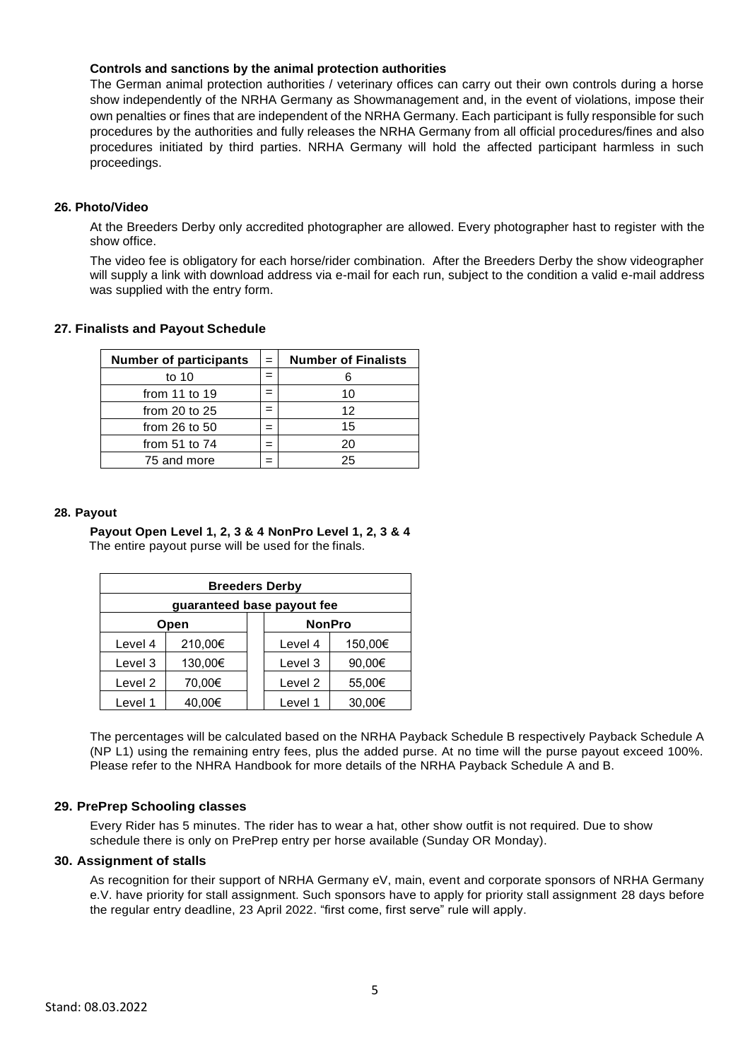## **Controls and sanctions by the animal protection authorities**

The German animal protection authorities / veterinary offices can carry out their own controls during a horse show independently of the NRHA Germany as Showmanagement and, in the event of violations, impose their own penalties or fines that are independent of the NRHA Germany. Each participant is fully responsible for such procedures by the authorities and fully releases the NRHA Germany from all official procedures/fines and also procedures initiated by third parties. NRHA Germany will hold the affected participant harmless in such proceedings.

## **26. Photo/Video**

At the Breeders Derby only accredited photographer are allowed. Every photographer hast to register with the show office.

The video fee is obligatory for each horse/rider combination. After the Breeders Derby the show videographer will supply a link with download address via e-mail for each run, subject to the condition a valid e-mail address was supplied with the entry form.

## **27. Finalists and Payout Schedule**

| <b>Number of participants</b> | $=$ | <b>Number of Finalists</b> |
|-------------------------------|-----|----------------------------|
| to 10                         |     |                            |
| from 11 to 19                 |     | 10                         |
| from 20 to $25$               |     | 12                         |
| from $26$ to $50$             |     | 15                         |
| from $51$ to $74$             |     | 20                         |
| 75 and more                   |     | 25                         |

#### **28. Payout**

**Payout Open Level 1, 2, 3 & 4 NonPro Level 1, 2, 3 & 4** The entire payout purse will be used for the finals.

| <b>Breeders Derby</b>      |         |  |                    |         |
|----------------------------|---------|--|--------------------|---------|
| guaranteed base payout fee |         |  |                    |         |
|                            | Open    |  | <b>NonPro</b>      |         |
| Level 4                    | 210,00€ |  | Level 4            | 150,00€ |
| Level 3                    | 130,00€ |  | Level 3            | 90,00€  |
| Level 2                    | 70,00€  |  | Level <sub>2</sub> | 55,00€  |
| Level 1                    | 40.00€  |  | Level 1            | 30.00€  |

The percentages will be calculated based on the NRHA Payback Schedule B respectively Payback Schedule A (NP L1) using the remaining entry fees, plus the added purse. At no time will the purse payout exceed 100%. Please refer to the NHRA Handbook for more details of the NRHA Payback Schedule A and B.

## **29. PrePrep Schooling classes**

Every Rider has 5 minutes. The rider has to wear a hat, other show outfit is not required. Due to show schedule there is only on PrePrep entry per horse available (Sunday OR Monday).

## **30. Assignment of stalls**

As recognition for their support of NRHA Germany eV, main, event and corporate sponsors of NRHA Germany e.V. have priority for stall assignment. Such sponsors have to apply for priority stall assignment 28 days before the regular entry deadline, 23 April 2022. "first come, first serve" rule will apply.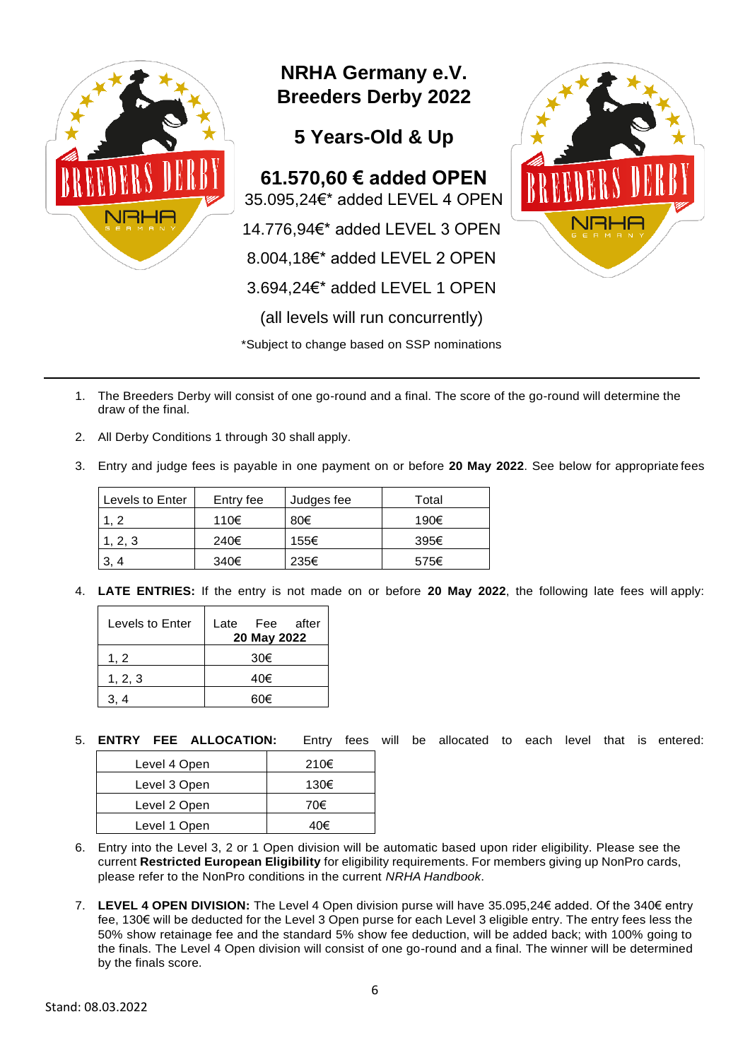

- 1. The Breeders Derby will consist of one go-round and a final. The score of the go-round will determine the draw of the final.
- 2. All Derby Conditions 1 through 30 shall apply.
- 3. Entry and judge fees is payable in one payment on or before **20 May 2022**. See below for appropriate fees

| Levels to Enter | Entry fee | Judges fee | Total |
|-----------------|-----------|------------|-------|
| . 2             | 110€      | 80€        | 190€  |
| . 2. 3          | 240€      | 155€       | 395€  |
|                 | 340€      | 235€       | 575€  |

4. **LATE ENTRIES:** If the entry is not made on or before **20 May 2022**, the following late fees will apply:

| Levels to Enter | Fee after<br>Late<br>20 May 2022 |
|-----------------|----------------------------------|
| 1.2             | 30€                              |
| 1, 2, 3         | 40€                              |
|                 | 60€                              |

5. **ENTRY FEE ALLOCATION:** Entry fees will be allocated to each level that is entered:

| Level 4 Open | 210€ |
|--------------|------|
| Level 3 Open | 130€ |
| Level 2 Open | 70€  |
| Level 1 Open | 40€  |

- 6. Entry into the Level 3, 2 or 1 Open division will be automatic based upon rider eligibility. Please see the current **Restricted European Eligibility** for eligibility requirements. For members giving up NonPro cards, please refer to the NonPro conditions in the current *NRHA Handbook*.
- 7. **LEVEL 4 OPEN DIVISION:** The Level 4 Open division purse will have 35.095,24€ added. Of the 340€ entry fee, 130€ will be deducted for the Level 3 Open purse for each Level 3 eligible entry. The entry fees less the 50% show retainage fee and the standard 5% show fee deduction, will be added back; with 100% going to the finals. The Level 4 Open division will consist of one go-round and a final. The winner will be determined by the finals score.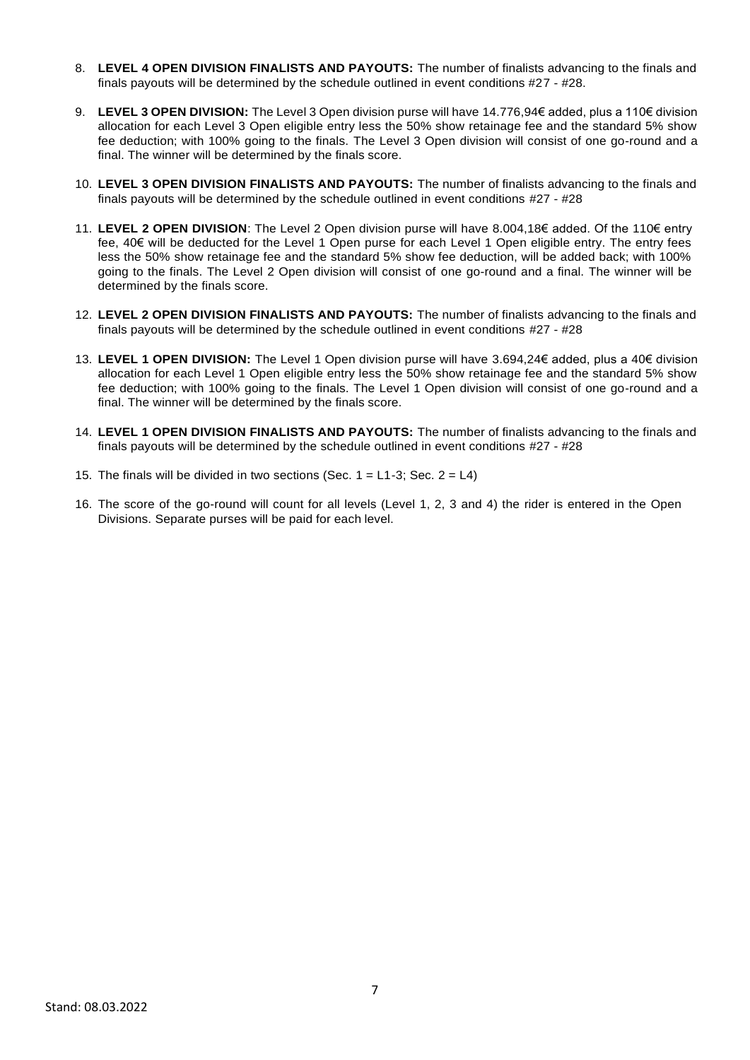- 8. **LEVEL 4 OPEN DIVISION FINALISTS AND PAYOUTS:** The number of finalists advancing to the finals and finals payouts will be determined by the schedule outlined in event conditions #27 - #28.
- 9. **LEVEL 3 OPEN DIVISION:** The Level 3 Open division purse will have 14.776,94€ added, plus a 110€ division allocation for each Level 3 Open eligible entry less the 50% show retainage fee and the standard 5% show fee deduction; with 100% going to the finals. The Level 3 Open division will consist of one go-round and a final. The winner will be determined by the finals score.
- 10. **LEVEL 3 OPEN DIVISION FINALISTS AND PAYOUTS:** The number of finalists advancing to the finals and finals payouts will be determined by the schedule outlined in event conditions #27 - #28
- 11. **LEVEL 2 OPEN DIVISION**: The Level 2 Open division purse will have 8.004,18€ added. Of the 110€ entry fee, 40€ will be deducted for the Level 1 Open purse for each Level 1 Open eligible entry. The entry fees less the 50% show retainage fee and the standard 5% show fee deduction, will be added back; with 100% going to the finals. The Level 2 Open division will consist of one go-round and a final. The winner will be determined by the finals score.
- 12. **LEVEL 2 OPEN DIVISION FINALISTS AND PAYOUTS:** The number of finalists advancing to the finals and finals payouts will be determined by the schedule outlined in event conditions #27 - #28
- 13. **LEVEL 1 OPEN DIVISION:** The Level 1 Open division purse will have 3.694,24€ added, plus a 40€ division allocation for each Level 1 Open eligible entry less the 50% show retainage fee and the standard 5% show fee deduction; with 100% going to the finals. The Level 1 Open division will consist of one go-round and a final. The winner will be determined by the finals score.
- 14. **LEVEL 1 OPEN DIVISION FINALISTS AND PAYOUTS:** The number of finalists advancing to the finals and finals payouts will be determined by the schedule outlined in event conditions #27 - #28
- 15. The finals will be divided in two sections (Sec.  $1 = L1-3$ ; Sec.  $2 = L4$ )
- 16. The score of the go-round will count for all levels (Level 1, 2, 3 and 4) the rider is entered in the Open Divisions. Separate purses will be paid for each level.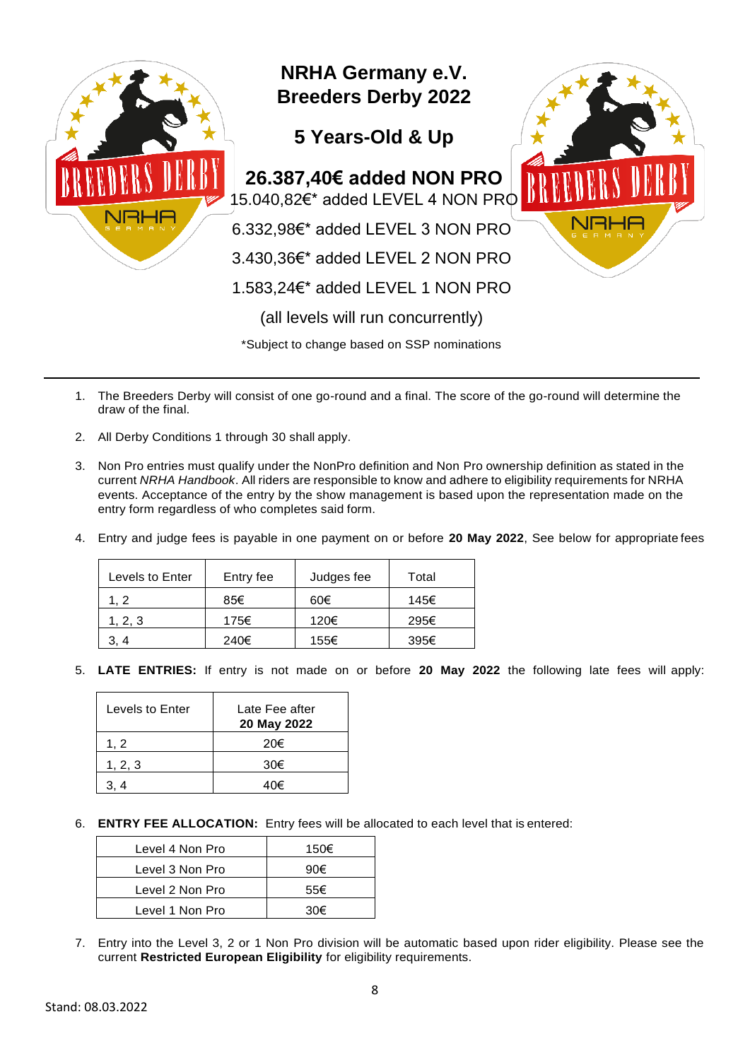

- 1. The Breeders Derby will consist of one go-round and a final. The score of the go-round will determine the draw of the final.
- 2. All Derby Conditions 1 through 30 shall apply.
- 3. Non Pro entries must qualify under the NonPro definition and Non Pro ownership definition as stated in the current *NRHA Handbook*. All riders are responsible to know and adhere to eligibility requirements for NRHA events. Acceptance of the entry by the show management is based upon the representation made on the entry form regardless of who completes said form.
- 4. Entry and judge fees is payable in one payment on or before **20 May 2022**, See below for appropriate fees

| Levels to Enter | Entry fee | Judges fee | Total |
|-----------------|-----------|------------|-------|
| 1.2             | 85€       | 60€        | 145€  |
| 1, 2, 3         | 175€      | 120€       | 295€  |
|                 | 240€      | 155€       | 395€  |

5. **LATE ENTRIES:** If entry is not made on or before **20 May 2022** the following late fees will apply:

| Levels to Enter | Late Fee after<br>20 May 2022 |
|-----------------|-------------------------------|
| 1.2             | 20€                           |
| 1, 2, 3         | 30€                           |
|                 |                               |

6. **ENTRY FEE ALLOCATION:** Entry fees will be allocated to each level that is entered:

| Level 4 Non Pro | 150€ |
|-----------------|------|
| Level 3 Non Pro | 90€  |
| Level 2 Non Pro | 55€  |
| Level 1 Non Pro | 30€  |

7. Entry into the Level 3, 2 or 1 Non Pro division will be automatic based upon rider eligibility. Please see the current **Restricted European Eligibility** for eligibility requirements.